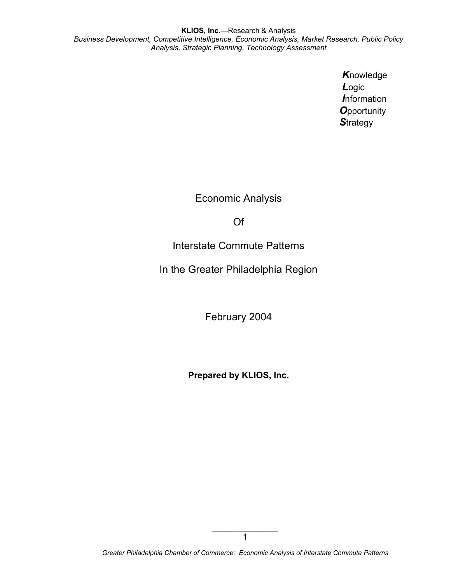> *K*nowledge *L*ogic *I*nformation *O*pportunity *S*trategy

Economic Analysis

Of

Interstate Commute Patterns

In the Greater Philadelphia Region

February 2004

**Prepared by KLIOS, Inc.** 

*Greater Philadelphia Chamber of Commerce: Economic Analysis of Interstate Commute Patterns*

 $\_$ 1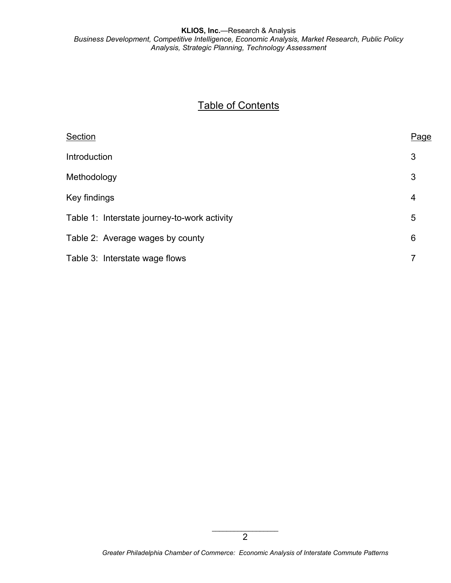# **Table of Contents**

| Section                                      | Page |
|----------------------------------------------|------|
| Introduction                                 | 3    |
| Methodology                                  | 3    |
| Key findings                                 | 4    |
| Table 1: Interstate journey-to-work activity | 5    |
| Table 2: Average wages by county             | 6    |
| Table 3: Interstate wage flows               |      |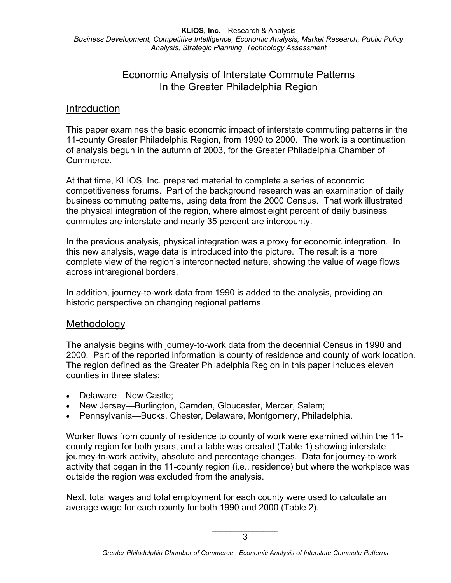## Economic Analysis of Interstate Commute Patterns In the Greater Philadelphia Region

### Introduction

This paper examines the basic economic impact of interstate commuting patterns in the 11-county Greater Philadelphia Region, from 1990 to 2000. The work is a continuation of analysis begun in the autumn of 2003, for the Greater Philadelphia Chamber of Commerce.

At that time, KLIOS, Inc. prepared material to complete a series of economic competitiveness forums. Part of the background research was an examination of daily business commuting patterns, using data from the 2000 Census. That work illustrated the physical integration of the region, where almost eight percent of daily business commutes are interstate and nearly 35 percent are intercounty.

In the previous analysis, physical integration was a proxy for economic integration. In this new analysis, wage data is introduced into the picture. The result is a more complete view of the region's interconnected nature, showing the value of wage flows across intraregional borders.

In addition, journey-to-work data from 1990 is added to the analysis, providing an historic perspective on changing regional patterns.

#### Methodology

The analysis begins with journey-to-work data from the decennial Census in 1990 and 2000. Part of the reported information is county of residence and county of work location. The region defined as the Greater Philadelphia Region in this paper includes eleven counties in three states:

- Delaware—New Castle;
- New Jersey—Burlington, Camden, Gloucester, Mercer, Salem;
- Pennsylvania—Bucks, Chester, Delaware, Montgomery, Philadelphia.

Worker flows from county of residence to county of work were examined within the 11 county region for both years, and a table was created (Table 1) showing interstate journey-to-work activity, absolute and percentage changes. Data for journey-to-work activity that began in the 11-county region (i.e., residence) but where the workplace was outside the region was excluded from the analysis.

Next, total wages and total employment for each county were used to calculate an average wage for each county for both 1990 and 2000 (Table 2).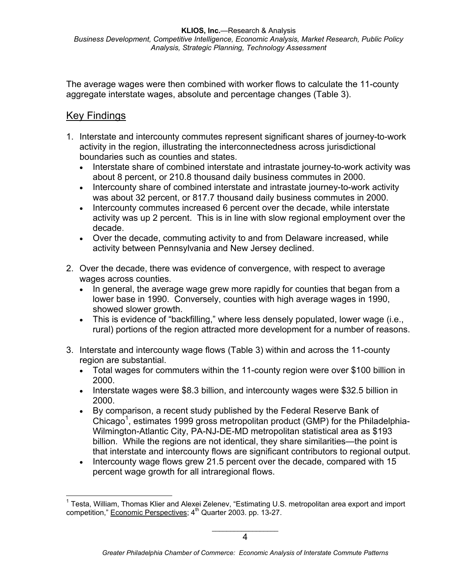The average wages were then combined with worker flows to calculate the 11-county aggregate interstate wages, absolute and percentage changes (Table 3).

#### Key Findings

 $\overline{a}$ 

- 1. Interstate and intercounty commutes represent significant shares of journey-to-work activity in the region, illustrating the interconnectedness across jurisdictional boundaries such as counties and states.
	- Interstate share of combined interstate and intrastate journey-to-work activity was about 8 percent, or 210.8 thousand daily business commutes in 2000.
	- Intercounty share of combined interstate and intrastate journey-to-work activity was about 32 percent, or 817.7 thousand daily business commutes in 2000.
	- Intercounty commutes increased 6 percent over the decade, while interstate activity was up 2 percent. This is in line with slow regional employment over the decade.
	- Over the decade, commuting activity to and from Delaware increased, while activity between Pennsylvania and New Jersey declined.
- 2. Over the decade, there was evidence of convergence, with respect to average wages across counties.
	- In general, the average wage grew more rapidly for counties that began from a lower base in 1990. Conversely, counties with high average wages in 1990, showed slower growth.
	- This is evidence of "backfilling," where less densely populated, lower wage (i.e., rural) portions of the region attracted more development for a number of reasons.
- 3. Interstate and intercounty wage flows (Table 3) within and across the 11-county region are substantial.
	- Total wages for commuters within the 11-county region were over \$100 billion in 2000.
	- Interstate wages were \$8.3 billion, and intercounty wages were \$32.5 billion in 2000.
	- By comparison, a recent study published by the Federal Reserve Bank of Chicago<sup>1</sup>, estimates 1999 gross metropolitan product (GMP) for the Philadelphia-Wilmington-Atlantic City, PA-NJ-DE-MD metropolitan statistical area as \$193 billion. While the regions are not identical, they share similarities—the point is that interstate and intercounty flows are significant contributors to regional output.
	- Intercounty wage flows grew 21.5 percent over the decade, compared with 15 percent wage growth for all intraregional flows.

<sup>&</sup>lt;sup>1</sup> Testa, William, Thomas Klier and Alexei Zelenev, "Estimating U.S. metropolitan area export and import competition," Economic Perspectives;  $4<sup>th</sup>$  Quarter 2003. pp. 13-27.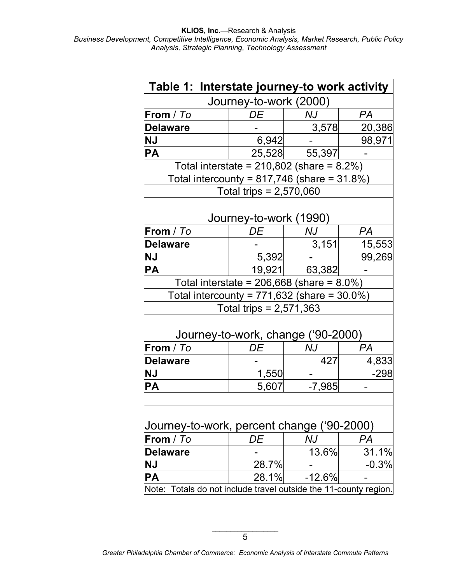| Table 1: Interstate journey-to work activity                        |                                                 |          |           |  |  |  |  |  |
|---------------------------------------------------------------------|-------------------------------------------------|----------|-----------|--|--|--|--|--|
|                                                                     | Journey-to-work (2000)                          |          |           |  |  |  |  |  |
| From / To                                                           | DE                                              | NJ       | PA        |  |  |  |  |  |
| <b>Delaware</b>                                                     |                                                 | 3,578    | 20,386    |  |  |  |  |  |
| <b>NJ</b>                                                           | 6,942                                           |          | 98,971    |  |  |  |  |  |
| <b>PA</b>                                                           | 25,528                                          | 55,397   |           |  |  |  |  |  |
|                                                                     | Total interstate = $210,802$ (share = $8.2\%$ ) |          |           |  |  |  |  |  |
| Total intercounty = $817,746$ (share = $31.8\%$ )                   |                                                 |          |           |  |  |  |  |  |
|                                                                     | Total trips = $2,570,060$                       |          |           |  |  |  |  |  |
|                                                                     |                                                 |          |           |  |  |  |  |  |
|                                                                     | Journey-to-work (1990)                          |          |           |  |  |  |  |  |
| From / To                                                           | DE                                              | NJ       | <b>PA</b> |  |  |  |  |  |
| <b>Delaware</b>                                                     |                                                 | 3,151    | 15,553    |  |  |  |  |  |
| <b>NJ</b>                                                           | 5,392                                           |          | 99,269    |  |  |  |  |  |
| <b>PA</b>                                                           | 19,921                                          | 63,382   |           |  |  |  |  |  |
|                                                                     | Total interstate = $206,668$ (share = $8.0\%$ ) |          |           |  |  |  |  |  |
| Total intercounty = $771,632$ (share = $30.0\%$ )                   |                                                 |          |           |  |  |  |  |  |
|                                                                     | Total trips = $2,571,363$                       |          |           |  |  |  |  |  |
|                                                                     |                                                 |          |           |  |  |  |  |  |
|                                                                     | Journey-to-work, change ('90-2000)              |          |           |  |  |  |  |  |
| From / To                                                           | DE                                              | NJ       | РA        |  |  |  |  |  |
| <b>Delaware</b>                                                     |                                                 | 427      | 4,833     |  |  |  |  |  |
| <b>NJ</b>                                                           | 1,550                                           |          | -298      |  |  |  |  |  |
| <b>PA</b>                                                           | 5,607                                           | $-7,985$ |           |  |  |  |  |  |
|                                                                     |                                                 |          |           |  |  |  |  |  |
|                                                                     |                                                 |          |           |  |  |  |  |  |
| Journey-to-work, percent change ('90-2000)                          |                                                 |          |           |  |  |  |  |  |
| From / To                                                           | DE                                              | NJ       | PA        |  |  |  |  |  |
| <b>Delaware</b>                                                     |                                                 | 13.6%    | 31.1%     |  |  |  |  |  |
| <b>NJ</b>                                                           | 28.7%                                           |          | $-0.3%$   |  |  |  |  |  |
| PA                                                                  | 28.1%                                           | $-12.6%$ |           |  |  |  |  |  |
| Totals do not include travel outside the 11-county region.<br>Note: |                                                 |          |           |  |  |  |  |  |

*Greater Philadelphia Chamber of Commerce: Economic Analysis of Interstate Commute Patterns*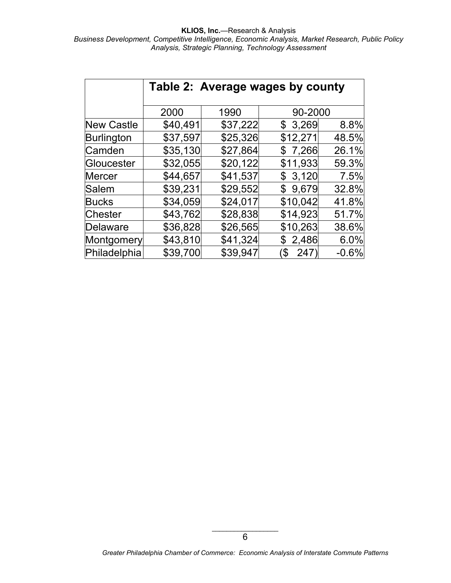|                   | Table 2: Average wages by county |          |           |         |  |
|-------------------|----------------------------------|----------|-----------|---------|--|
|                   | 2000                             | 1990     | 90-2000   |         |  |
| <b>New Castle</b> | \$40,491                         | \$37,222 | \$3,269   | 8.8%    |  |
| Burlington        | \$37,597                         | \$25,326 | \$12,271  | 48.5%   |  |
| Camden            | \$35,130                         | \$27,864 | \$7,266   | 26.1%   |  |
| Gloucester        | \$32,055                         | \$20,122 | \$11,933  | 59.3%   |  |
| Mercer            | \$44,657                         | \$41,537 | \$3,120   | 7.5%    |  |
| Salem             | \$39,231                         | \$29,552 | \$9,679   | 32.8%   |  |
| <b>Bucks</b>      | \$34,059                         | \$24,017 | \$10,042  | 41.8%   |  |
| <b>Chester</b>    | \$43,762                         | \$28,838 | \$14,923  | 51.7%   |  |
| Delaware          | \$36,828                         | \$26,565 | \$10,263  | 38.6%   |  |
| Montgomery        | \$43,810                         | \$41,324 | \$2,486   | 6.0%    |  |
| Philadelphia      | \$39,700                         | \$39,947 | 247<br>\$ | $-0.6%$ |  |